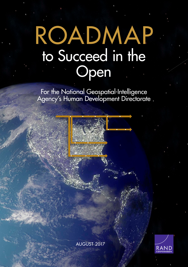# [ROADMAP](https://www.rand.org/pubs/tools/TL251.html) to Succeed in the Open

For the National Geospatial-Intelligence Agency's Human Development Directorate

A2 A3 A4 A5 A6

B1 B2 B3

D1 D2 D3

C1 C2 C2 C2 C2 C2 C2 C2 C2 C2

AUGUST 2017

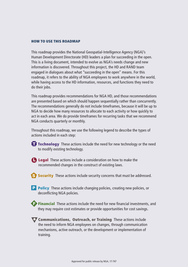#### HOW TO USE THIS ROADMAP

This roadmap provides the National Geospatial-Intelligence Agency (NGA)'s Human Development Directorate (HD) leaders a plan for succeeding in the open. This is a living document, intended to evolve as NGA's needs change and new information is discovered. Throughout this project, the HD and RAND team engaged in dialogues about what "succeeding in the open" means. For this roadmap, it refers to the ability of NGA employees to work anywhere in the world, while having access to the HD information, resources, and functions they need to do their jobs.

This roadmap provides recommendations for NGA HD, and those recommendations are presented based on which should happen sequentially rather than concurrently. The recommendations generally do not include timeframes, because it will be up to NGA to decide how many resources to allocate to each activity or how quickly to act in each area. We do provide timeframes for recurring tasks that we recommend NGA conducts quarterly or monthly.

Throughout this roadmap, we use the following legend to describe the types of actions included in each step:

**T** Technology These actions include the need for new technology or the need to modify existing technology.

**Legal** These actions include a consideration on how to make the recommended changes in the construct of existing laws.

S Security These actions include security concerns that must be addressed.

**P** Policy These actions include changing policies, creating new policies, or deconflicting NGA policies.

**Financial** These actions include the need for new financial investments, and they may require cost estimates or provide opportunities for cost savings.

**V** Communications, Outreach, or Training These actions include the need to inform NGA employees on changes, through communication mechanisms, active outreach, or the development or implementation of training.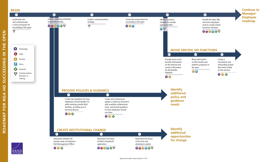#### **BEGIN**



**OPEN** 

 $\mathbf{u}$ 퐅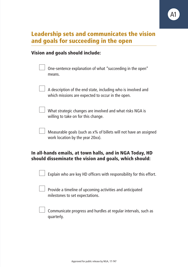

## Leadership sets and communicates the vision and goals for succeeding in the open

#### Vision and goals should include:

| One-sentence explanation of what "succeeding in the open"<br>means.                                                |
|--------------------------------------------------------------------------------------------------------------------|
| A description of the end state, including who is involved and<br>which missions are expected to occur in the open. |
| What strategic changes are involved and what risks NGA is<br>willing to take on for this change.                   |
| Measurable goals (such as x% of billets will not have an assigned<br>work location by the year 20xx).              |
|                                                                                                                    |

#### In all-hands emails, at town halls, and in NGA Today, HD should disseminate the vision and goals, which should:

| Explain who are key HD officers with responsibility for this effort. |  |  |
|----------------------------------------------------------------------|--|--|
|                                                                      |  |  |

 $\Box$  Provide a timeline of upcoming activities and anticipated milestones to set expectations.

 $\Box$  Communicate progress and hurdles at regular intervals, such as quarterly.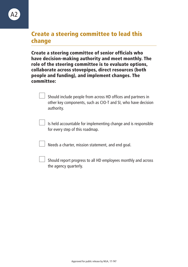

## Create a steering committee to lead this change

Create a steering committee of senior officials who have decision-making authority and meet monthly. The role of the steering committee is to evaluate options, collaborate across stovepipes, direct resources (both people and funding), and implement changes. The committee:

> Should include people from across HD offices and partners in other key components, such as CIO-T and SI, who have decision authority.

 $\Box$  Is held accountable for implementing change and is responsible for every step of this roadmap.

 $\Box$  Needs a charter, mission statement, and end goal.

 Should report progress to all HD employees monthly and across the agency quarterly.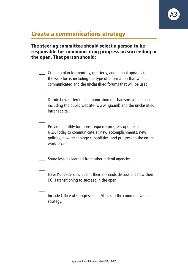|  | <b>Create a communications strategy</b> |  |
|--|-----------------------------------------|--|
|  |                                         |  |

#### The steering committee should select a person to be responsible for communicating progress on succeeding in the open. That person should:

A3

| Create a plan for monthly, quarterly, and annual updates to<br>the workforce, including the type of information that will be<br>communicated and the unclassified forums that will be used.        |
|----------------------------------------------------------------------------------------------------------------------------------------------------------------------------------------------------|
| Decide how different communication mechanisms will be used,<br>including the public website (www.nga.mil) and the unclassified<br>intranet site.                                                   |
| Provide monthly (or more-frequent) progress updates in<br>NGA Today to communicate all new accomplishments, new<br>policies, new technology capabilities, and progress to the entire<br>workforce. |
| Share lessons learned from other federal agencies.                                                                                                                                                 |

 $\Box$  Have KC leaders include in their all-hands discussions how their KC is transitioning to succeed in the open.

 $\Box$  Include Office of Congressional Affairs in the communications strategy.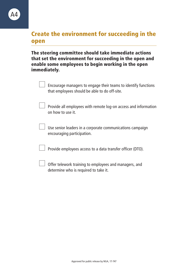## Create the environment for succeeding in the open

The steering committee should take immediate actions that set the environment for succeeding in the open and enable some employees to begin working in the open immediately.

| Encourage managers to engage their teams to identify functions<br>that employees should be able to do off-site. |
|-----------------------------------------------------------------------------------------------------------------|
| Provide all employees with remote log-on access and information<br>on how to use it.                            |
| Use senior leaders in a corporate communications campaign<br>encouraging participation.                         |
| Provide employees access to a data transfer officer (DTO).                                                      |
| Offer telework training to employees and managers, and<br>determine who is required to take it.                 |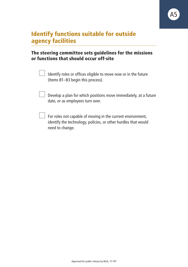## Identify functions suitable for outside agency facilities

#### The steering committee sets guidelines for the missions or functions that should occur off-site

| Identify roles or offices eligible to move now or in the future |
|-----------------------------------------------------------------|
| (Items B1-B3 begin this process).                               |

A5

 $\Box$  Develop a plan for which positions move immediately, at a future date, or as employees turn over.

 $\Box$  For roles not capable of moving in the current environment, identify the technology, policies, or other hurdles that would need to change.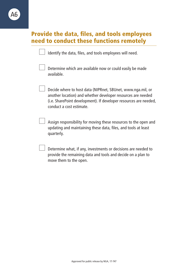#### Provide the data, files, and tools employees need to conduct these functions remotely

|  |  |  |  | Identify the data, files, and tools employees will need. |  |
|--|--|--|--|----------------------------------------------------------|--|
|--|--|--|--|----------------------------------------------------------|--|



 Determine which are available now or could easily be made available.

 Decide where to host data (NIPRnet, SBUnet, [www.nga.mil,](http://www.nga.mil) or another location) and whether developer resources are needed (i.e. SharePoint development). If developer resources are needed, conduct a cost estimate.

 Assign responsibility for moving these resources to the open and updating and maintaining these data, files, and tools at least quarterly.

 Determine what, if any, investments or decisions are needed to provide the remaining data and tools and decide on a plan to move them to the open.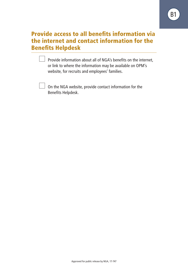## Provide access to all benefits information via the internet and contact information for the Benefits Helpdesk

**Provide information about all of NGA's benefits on the internet,** or link to where the information may be available on OPM's website, for recruits and employees' families.

 $\Box$  On the NGA website, provide contact information for the Benefits Helpdesk.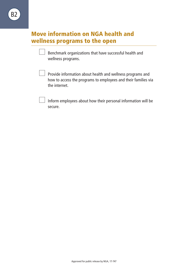## Move information on NGA health and wellness programs to the open

 $\Box$  Benchmark organizations that have successful health and wellness programs.

 $\Box$  Provide information about health and wellness programs and how to access the programs to employees and their families via the internet.

 Inform employees about how their personal information will be secure.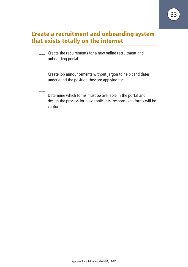### Create a recruitment and onboarding system that exists totally on the internet

| Create the requirements for a new online recruitment and |  |
|----------------------------------------------------------|--|
| onboarding portal.                                       |  |

 $\Box$  Create job announcements without jargon to help candidates understand the position they are applying for.

 $\Box$  Determine which forms must be available in the portal and design the process for how applicants' responses to forms will be captured.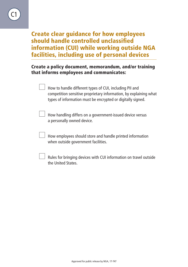Create clear guidance for how employees should handle controlled unclassified information (CUI) while working outside NGA facilities, including use of personal devices

#### Create a policy document, memorandum, and/or training that informs employees and communicates:

| How to handle different types of CUI, including PII and<br>competition sensitive proprietary information, by explaining what<br>types of information must be encrypted or digitally signed. |
|---------------------------------------------------------------------------------------------------------------------------------------------------------------------------------------------|
| How handling differs on a government-issued device versus<br>a personally owned device.                                                                                                     |
| How employees should store and handle printed information<br>when outside government facilities.                                                                                            |
| Rules for bringing devices with CUI information on travel outside<br>the United States.                                                                                                     |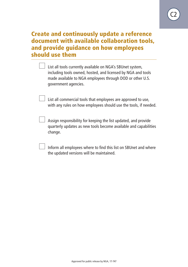

## Create and continuously update a reference document with available collaboration tools, and provide guidance on how employees should use them

 $\Box$  List all tools currently available on NGA's SBUnet system, including tools owned, hosted, and licensed by NGA and tools made available to NGA employees through DOD or other U.S. government agencies.

 List all commercial tools that employees are approved to use, with any rules on how employees should use the tools, if needed.

 $\Box$  Assign responsibility for keeping the list updated, and provide quarterly updates as new tools become available and capabilities change.

 Inform all employees where to find this list on SBUnet and where the updated versions will be maintained.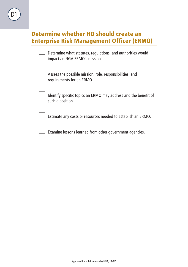## Determine whether HD should create an Enterprise Risk Management Officer (ERMO)

| Determine what statutes, regulations, and authorities would<br>impact an NGA ERMO's mission. |
|----------------------------------------------------------------------------------------------|
| Assess the possible mission, role, responsibilities, and<br>requirements for an ERMO.        |
| Identify specific topics an ERMO may address and the benefit of<br>such a position.          |
| Estimate any costs or resources needed to establish an ERMO.                                 |
| Examine lessons learned from other government agencies.                                      |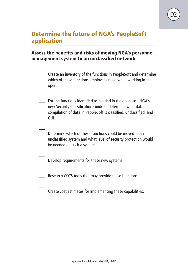

## Determine the future of NGA's PeopleSoft application

#### Assess the benefits and risks of moving NGA's personnel management system to an unclassified network

| Create an inventory of the functions in PeopleSoft and determine |
|------------------------------------------------------------------|
| which of these functions employees need while working in the     |
| open.                                                            |

- $\Box$  For the functions identified as needed in the open, use NGA's new Security Classification Guide to determine what data or compilation of data in PeopleSoft is classified, unclassified, and CUI.
	- Determine which of these functions could be moved to an unclassified system and what level of security protection would be needed on such a system.

Develop requirements for these new systems.

 $\Box$  Research COTS tools that may provide these functions.

 $\Box$  Create cost estimates for implementing these capabilities.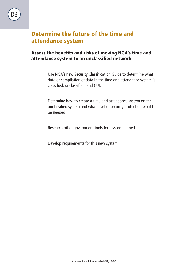## Determine the future of the time and attendance system

#### Assess the benefits and risks of moving NGA's time and attendance system to an unclassified network

- $\Box$  Use NGA's new Security Classification Guide to determine what data or compilation of data in the time and attendance system is classified, unclassified, and CUI.
	- $\Box$  Determine how to create a time and attendance system on the unclassified system and what level of security protection would be needed.
	- $\Box$  Research other government tools for lessons learned.
	- $\Box$  Develop requirements for this new system.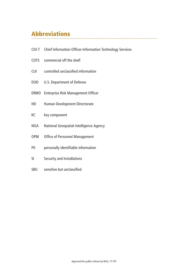# Abbreviations

- CIO-T Chief Information Officer-Information Technology Services
- COTS commercial off the shelf
- CUI controlled unclassified information
- DOD U.S. Department of Defense
- ERMO Enterprise Risk Management Officer
- HD Human Development Directorate
- KC key component
- NGA National Geospatial-Intelligence Agency
- OPM Office of Personnel Management
- PII personally identifiable information
- SI Security and Installations
- SBU sensitive but unclassified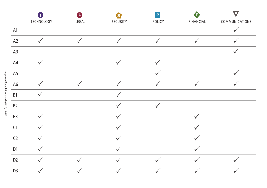|                | o<br>TECHNOLOGY | $\mathbf 0$<br>${\sf LEGAL}$ | A<br>SECURITY | $\mathbf{P}$<br>POLICY | A<br><b>FINANCIAL</b> | $\overline{\mathbf{C}}$<br>COMMUNICATIONS |
|----------------|-----------------|------------------------------|---------------|------------------------|-----------------------|-------------------------------------------|
| A1             |                 |                              |               |                        |                       | $\checkmark$                              |
| A2             | $\checkmark$    | $\checkmark$                 | $\checkmark$  | $\checkmark$           | $\checkmark$          |                                           |
| A3             |                 |                              |               |                        |                       | $\checkmark$                              |
| A4             |                 |                              | $\checkmark$  |                        |                       |                                           |
| A <sub>5</sub> |                 |                              |               |                        |                       |                                           |
| A <sub>6</sub> |                 |                              |               |                        |                       |                                           |
| B1             |                 |                              |               |                        |                       |                                           |
| B <sub>2</sub> |                 |                              |               | $\checkmark$           |                       |                                           |
| B <sub>3</sub> |                 |                              |               |                        | $\checkmark$          |                                           |
| C1             |                 |                              |               |                        |                       |                                           |
| C <sub>2</sub> |                 |                              |               |                        |                       |                                           |
| D <sub>1</sub> | $\checkmark$    |                              | $\checkmark$  |                        | $\checkmark$          |                                           |
| D <sub>2</sub> |                 | $\checkmark$                 |               | $\checkmark$           |                       | $\checkmark$                              |
| D <sub>3</sub> |                 |                              |               |                        |                       |                                           |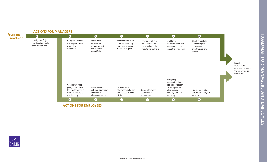#### **ACTIONS FOR MANAGERS**





**ACTIONS FOR EMPLOYEES** 

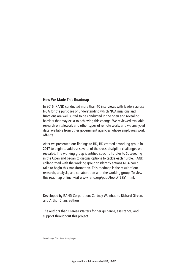#### **How We Made This Roadmap**

In 2016, RAND conducted more than 40 interviews with leaders across NGA for the purposes of understanding which NGA missions and functions are well suited to be conducted in the open and revealing barriers that may exist to achieving this change. We reviewed available research on telework and other types of remote work, and we analyzed data available from other government agencies whose employees work off-site.

After we presented our findings to HD, HD created a working group in 2017 to begin to address several of the cross-discipline challenges we revealed. The working group identified specific hurdles to Succeeding in the Open and began to discuss options to tackle each hurdle. RAND collaborated with the working group to identify actions NGA could take to begin this transformation. This roadmap is the result of our research, analysis, and collaboration with the working group. To view this roadmap online, visit [www.rand.org/pubs/tools/TL251.html.](http://www.rand.org/pubs/tools/TL251.html)

Developed by RAND Corporation: Cortney Weinbaum, Richard Girven, and Arthur Chan, authors.

The authors thank Teresa Walters for her guidance, assistance, and support throughout this project.

Cover image: Chad Baker/GettyImages